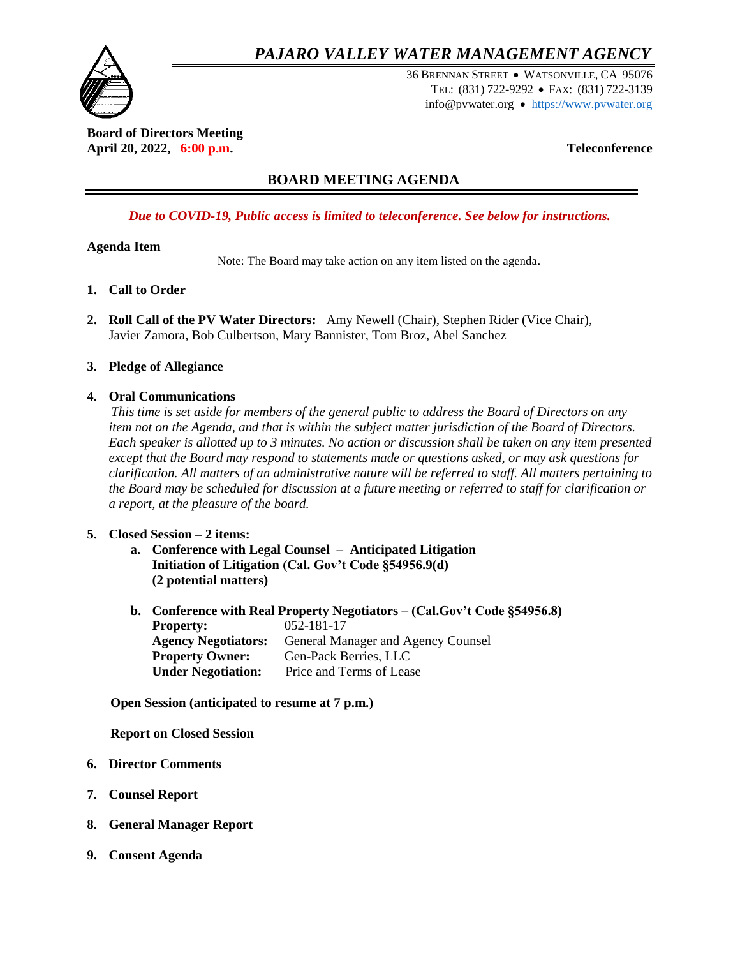# *PAJARO VALLEY WATER MANAGEMENT AGENCY*



36 BRENNAN STREET WATSONVILLE, CA 95076 TEL: (831) 722-9292 FAX: (831) 722-3139 info@pvwater.org • [https://www.pvwater.org](https://www.pvwater.org/)

**Board of Directors Meeting April 20, 2022, 6:00 p.m. Teleconference**

# **BOARD MEETING AGENDA**

# *Due to COVID-19, Public access is limited to teleconference. See below for instructions.*

### **Agenda Item**

Note: The Board may take action on any item listed on the agenda.

- **1. Call to Order**
- **2. Roll Call of the PV Water Directors:** Amy Newell (Chair), Stephen Rider (Vice Chair), Javier Zamora, Bob Culbertson, Mary Bannister, Tom Broz, Abel Sanchez
- **3. Pledge of Allegiance**

### **4. Oral Communications**

 *This time is set aside for members of the general public to address the Board of Directors on any item not on the Agenda, and that is within the subject matter jurisdiction of the Board of Directors. Each speaker is allotted up to 3 minutes. No action or discussion shall be taken on any item presented except that the Board may respond to statements made or questions asked, or may ask questions for clarification. All matters of an administrative nature will be referred to staff. All matters pertaining to the Board may be scheduled for discussion at a future meeting or referred to staff for clarification or a report, at the pleasure of the board.*

## **5. Closed Session – 2 items:**

- **a. Conference with Legal Counsel – Anticipated Litigation Initiation of Litigation (Cal. Gov't Code §54956.9(d) (2 potential matters)**
- **b. Conference with Real Property Negotiators – (Cal.Gov't Code §54956.8) Property:** 052-181-17 **Agency Negotiators:** General Manager and Agency Counsel **Property Owner:** Gen-Pack Berries, LLC **Under Negotiation:** Price and Terms of Lease

 **Open Session (anticipated to resume at 7 p.m.)**

**Report on Closed Session**

- **6. Director Comments**
- **7. Counsel Report**
- **8. General Manager Report**
- **9. Consent Agenda**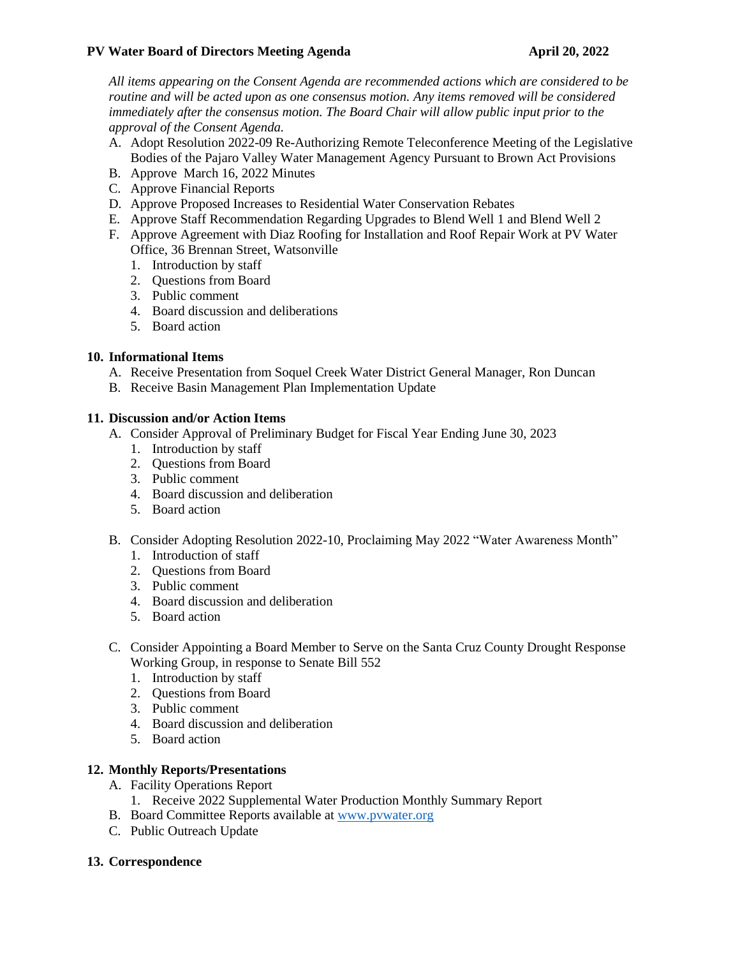#### **PV Water Board of Directors Meeting Agenda April 20, 2022**

*All items appearing on the Consent Agenda are recommended actions which are considered to be routine and will be acted upon as one consensus motion. Any items removed will be considered immediately after the consensus motion. The Board Chair will allow public input prior to the approval of the Consent Agenda.* 

- A. Adopt Resolution 2022-09 Re-Authorizing Remote Teleconference Meeting of the Legislative Bodies of the Pajaro Valley Water Management Agency Pursuant to Brown Act Provisions
- B. Approve March 16, 2022 Minutes
- C. Approve Financial Reports
- D. Approve Proposed Increases to Residential Water Conservation Rebates
- E. Approve Staff Recommendation Regarding Upgrades to Blend Well 1 and Blend Well 2
- F. Approve Agreement with Diaz Roofing for Installation and Roof Repair Work at PV Water Office, 36 Brennan Street, Watsonville
	- 1. Introduction by staff
	- 2. Questions from Board
	- 3. Public comment
	- 4. Board discussion and deliberations
	- 5. Board action

### **10. Informational Items**

- A. Receive Presentation from Soquel Creek Water District General Manager, Ron Duncan
- B. Receive Basin Management Plan Implementation Update

### **11. Discussion and/or Action Items**

- A. Consider Approval of Preliminary Budget for Fiscal Year Ending June 30, 2023
	- 1. Introduction by staff
	- 2. Questions from Board
	- 3. Public comment
	- 4. Board discussion and deliberation
	- 5. Board action
- B. Consider Adopting Resolution 2022-10, Proclaiming May 2022 "Water Awareness Month"
	- 1. Introduction of staff
	- 2. Questions from Board
	- 3. Public comment
	- 4. Board discussion and deliberation
	- 5. Board action
- C. Consider Appointing a Board Member to Serve on the Santa Cruz County Drought Response Working Group, in response to Senate Bill 552
	- 1. Introduction by staff
	- 2. Questions from Board
	- 3. Public comment
	- 4. Board discussion and deliberation
	- 5. Board action

#### **12. Monthly Reports/Presentations**

- A. Facility Operations Report
	- 1. Receive 2022 Supplemental Water Production Monthly Summary Report
- B. Board Committee Reports available at [www.pvwater.org](http://www.pvwater.org/)
- C. Public Outreach Update

#### **13. Correspondence**